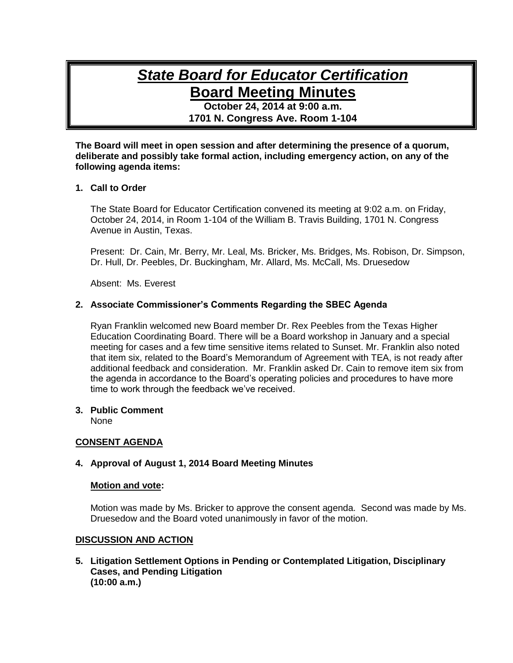# *State Board for Educator Certification* **Board Meeting Minutes**

**October 24, 2014 at 9:00 a.m. 1701 N. Congress Ave. Room 1-104**

**The Board will meet in open session and after determining the presence of a quorum, deliberate and possibly take formal action, including emergency action, on any of the following agenda items:**

### **1. Call to Order**

The State Board for Educator Certification convened its meeting at 9:02 a.m. on Friday, October 24, 2014, in Room 1-104 of the William B. Travis Building, 1701 N. Congress Avenue in Austin, Texas.

Present: Dr. Cain, Mr. Berry, Mr. Leal, Ms. Bricker, Ms. Bridges, Ms. Robison, Dr. Simpson, Dr. Hull, Dr. Peebles, Dr. Buckingham, Mr. Allard, Ms. McCall, Ms. Druesedow

Absent: Ms. Everest

### **2. Associate Commissioner's Comments Regarding the SBEC Agenda**

Ryan Franklin welcomed new Board member Dr. Rex Peebles from the Texas Higher Education Coordinating Board. There will be a Board workshop in January and a special meeting for cases and a few time sensitive items related to Sunset. Mr. Franklin also noted that item six, related to the Board's Memorandum of Agreement with TEA, is not ready after additional feedback and consideration. Mr. Franklin asked Dr. Cain to remove item six from the agenda in accordance to the Board's operating policies and procedures to have more time to work through the feedback we've received.

#### **3. Public Comment**

None

# **CONSENT AGENDA**

#### **4. Approval of August 1, 2014 Board Meeting Minutes**

#### **Motion and vote:**

Motion was made by Ms. Bricker to approve the consent agenda. Second was made by Ms. Druesedow and the Board voted unanimously in favor of the motion.

#### **DISCUSSION AND ACTION**

**5. Litigation Settlement Options in Pending or Contemplated Litigation, Disciplinary Cases, and Pending Litigation (10:00 a.m.)**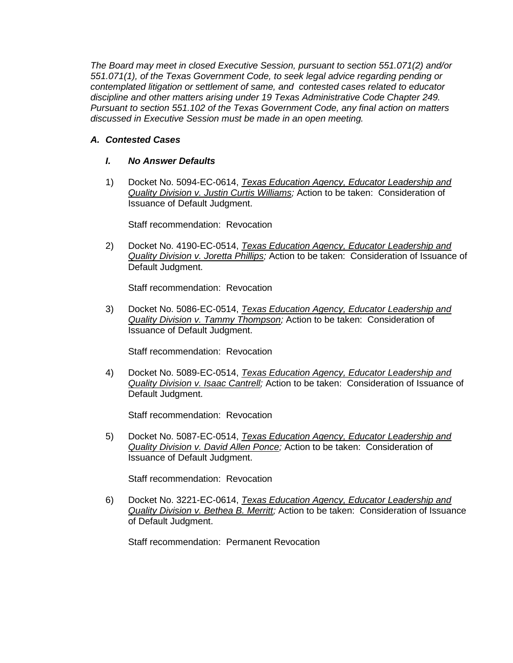*The Board may meet in closed Executive Session, pursuant to section 551.071(2) and/or 551.071(1), of the Texas Government Code, to seek legal advice regarding pending or contemplated litigation or settlement of same, and contested cases related to educator discipline and other matters arising under 19 Texas Administrative Code Chapter 249. Pursuant to section 551.102 of the Texas Government Code, any final action on matters discussed in Executive Session must be made in an open meeting.*

# *A. Contested Cases*

# *I. No Answer Defaults*

1) Docket No. 5094-EC-0614, *Texas Education Agency, Educator Leadership and Quality Division v. Justin Curtis Williams;* Action to be taken: Consideration of Issuance of Default Judgment.

Staff recommendation: Revocation

2) Docket No. 4190-EC-0514, *Texas Education Agency, Educator Leadership and Quality Division v. Joretta Phillips;* Action to be taken: Consideration of Issuance of Default Judgment.

Staff recommendation: Revocation

3) Docket No. 5086-EC-0514, *Texas Education Agency, Educator Leadership and Quality Division v. Tammy Thompson;* Action to be taken: Consideration of Issuance of Default Judgment.

Staff recommendation: Revocation

4) Docket No. 5089-EC-0514, *Texas Education Agency, Educator Leadership and Quality Division v. Isaac Cantrell;* Action to be taken: Consideration of Issuance of Default Judgment.

Staff recommendation: Revocation

5) Docket No. 5087-EC-0514, *Texas Education Agency, Educator Leadership and Quality Division v. David Allen Ponce;* Action to be taken: Consideration of Issuance of Default Judgment.

Staff recommendation: Revocation

6) Docket No. 3221-EC-0614, *Texas Education Agency, Educator Leadership and Quality Division v. Bethea B. Merritt;* Action to be taken: Consideration of Issuance of Default Judgment.

Staff recommendation: Permanent Revocation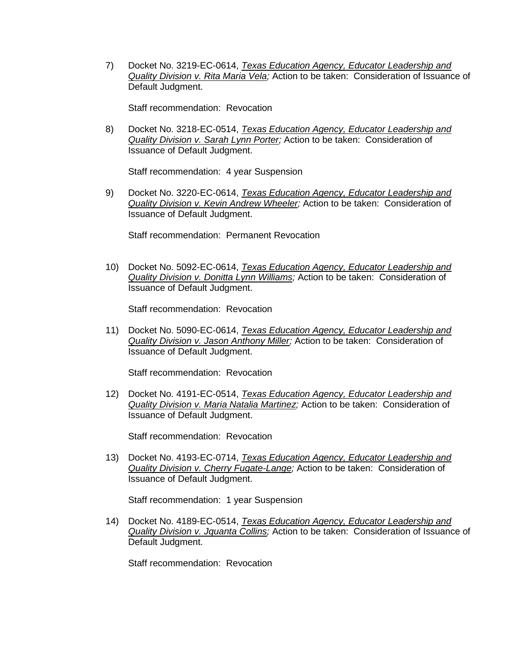7) Docket No. 3219-EC-0614, *Texas Education Agency, Educator Leadership and Quality Division v. Rita Maria Vela;* Action to be taken: Consideration of Issuance of Default Judgment.

Staff recommendation: Revocation

8) Docket No. 3218-EC-0514, *Texas Education Agency, Educator Leadership and Quality Division v. Sarah Lynn Porter;* Action to be taken: Consideration of Issuance of Default Judgment.

Staff recommendation: 4 year Suspension

9) Docket No. 3220-EC-0614, *Texas Education Agency, Educator Leadership and Quality Division v. Kevin Andrew Wheeler;* Action to be taken: Consideration of Issuance of Default Judgment.

Staff recommendation: Permanent Revocation

10) Docket No. 5092-EC-0614, *Texas Education Agency, Educator Leadership and Quality Division v. Donitta Lynn Williams;* Action to be taken: Consideration of Issuance of Default Judgment.

Staff recommendation: Revocation

11) Docket No. 5090-EC-0614, *Texas Education Agency, Educator Leadership and Quality Division v. Jason Anthony Miller;* Action to be taken: Consideration of Issuance of Default Judgment.

Staff recommendation: Revocation

12) Docket No. 4191-EC-0514, *Texas Education Agency, Educator Leadership and Quality Division v. Maria Natalia Martinez;* Action to be taken: Consideration of Issuance of Default Judgment.

Staff recommendation: Revocation

13) Docket No. 4193-EC-0714, *Texas Education Agency, Educator Leadership and Quality Division v. Cherry Fugate-Lange;* Action to be taken: Consideration of Issuance of Default Judgment.

Staff recommendation: 1 year Suspension

14) Docket No. 4189-EC-0514, *Texas Education Agency, Educator Leadership and Quality Division v. Jquanta Collins;* Action to be taken: Consideration of Issuance of Default Judgment.

Staff recommendation: Revocation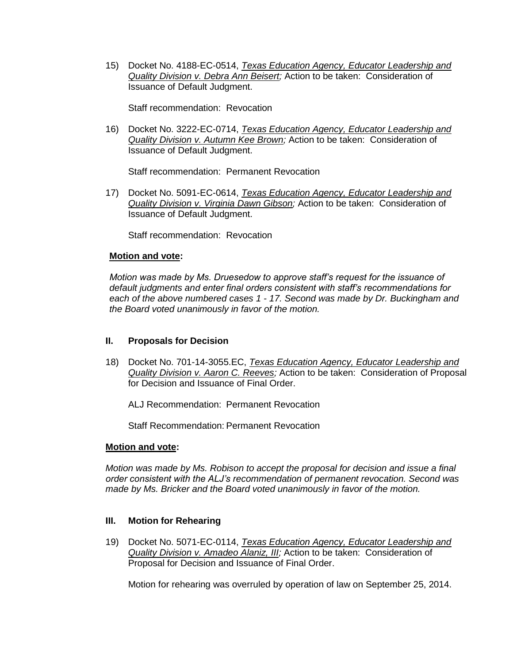15) Docket No. 4188-EC-0514, *Texas Education Agency, Educator Leadership and Quality Division v. Debra Ann Beisert;* Action to be taken: Consideration of Issuance of Default Judgment.

Staff recommendation: Revocation

16) Docket No. 3222-EC-0714, *Texas Education Agency, Educator Leadership and Quality Division v. Autumn Kee Brown;* Action to be taken: Consideration of Issuance of Default Judgment.

Staff recommendation: Permanent Revocation

17) Docket No. 5091-EC-0614, *Texas Education Agency, Educator Leadership and Quality Division v. Virginia Dawn Gibson;* Action to be taken: Consideration of Issuance of Default Judgment.

Staff recommendation: Revocation

### **Motion and vote:**

*Motion was made by Ms. Druesedow to approve staff's request for the issuance of default judgments and enter final orders consistent with staff's recommendations for each of the above numbered cases 1 - 17. Second was made by Dr. Buckingham and the Board voted unanimously in favor of the motion.*

# **II. Proposals for Decision**

18) Docket No. 701-14-3055.EC, *Texas Education Agency, Educator Leadership and Quality Division v. Aaron C. Reeves;* Action to be taken: Consideration of Proposal for Decision and Issuance of Final Order.

ALJ Recommendation: Permanent Revocation

Staff Recommendation: Permanent Revocation

#### **Motion and vote:**

*Motion was made by Ms. Robison to accept the proposal for decision and issue a final order consistent with the ALJ's recommendation of permanent revocation. Second was made by Ms. Bricker and the Board voted unanimously in favor of the motion.*

# **III. Motion for Rehearing**

19) Docket No. 5071-EC-0114, *Texas Education Agency, Educator Leadership and Quality Division v. Amadeo Alaniz, III;* Action to be taken: Consideration of Proposal for Decision and Issuance of Final Order.

Motion for rehearing was overruled by operation of law on September 25, 2014.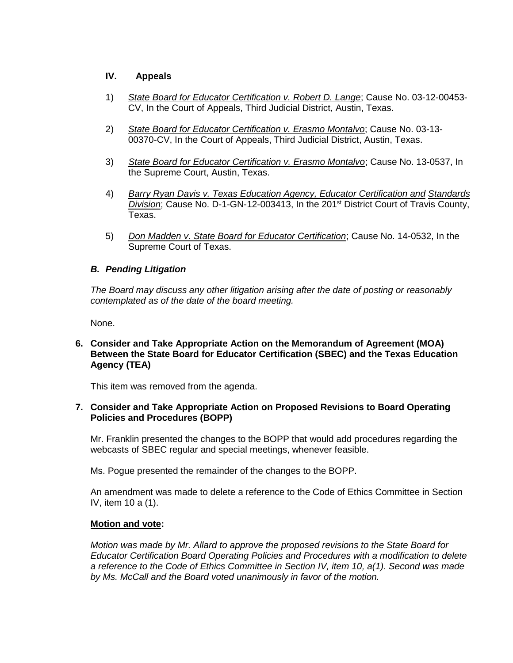# **IV. Appeals**

- 1) *State Board for Educator Certification v. Robert D. Lange*; Cause No. 03-12-00453- CV, In the Court of Appeals, Third Judicial District, Austin, Texas.
- 2) *State Board for Educator Certification v. Erasmo Montalvo*; Cause No. 03-13- 00370-CV, In the Court of Appeals, Third Judicial District, Austin, Texas.
- 3) *State Board for Educator Certification v. Erasmo Montalvo*; Cause No. 13-0537, In the Supreme Court, Austin, Texas.
- 4) *Barry Ryan Davis v. Texas Education Agency, Educator Certification and Standards*  Division; Cause No. D-1-GN-12-003413, In the 201<sup>st</sup> District Court of Travis County, Texas.
- 5) *Don Madden v. State Board for Educator Certification*; Cause No. 14-0532, In the Supreme Court of Texas.

# *B. Pending Litigation*

*The Board may discuss any other litigation arising after the date of posting or reasonably contemplated as of the date of the board meeting.*

None.

## **6. Consider and Take Appropriate Action on the Memorandum of Agreement (MOA) Between the State Board for Educator Certification (SBEC) and the Texas Education Agency (TEA)**

This item was removed from the agenda.

# **7. Consider and Take Appropriate Action on Proposed Revisions to Board Operating Policies and Procedures (BOPP)**

Mr. Franklin presented the changes to the BOPP that would add procedures regarding the webcasts of SBEC regular and special meetings, whenever feasible.

Ms. Pogue presented the remainder of the changes to the BOPP.

An amendment was made to delete a reference to the Code of Ethics Committee in Section IV, item 10 a (1).

# **Motion and vote:**

*Motion was made by Mr. Allard to approve the proposed revisions to the State Board for Educator Certification Board Operating Policies and Procedures with a modification to delete a reference to the Code of Ethics Committee in Section IV, item 10, a(1). Second was made by Ms. McCall and the Board voted unanimously in favor of the motion.*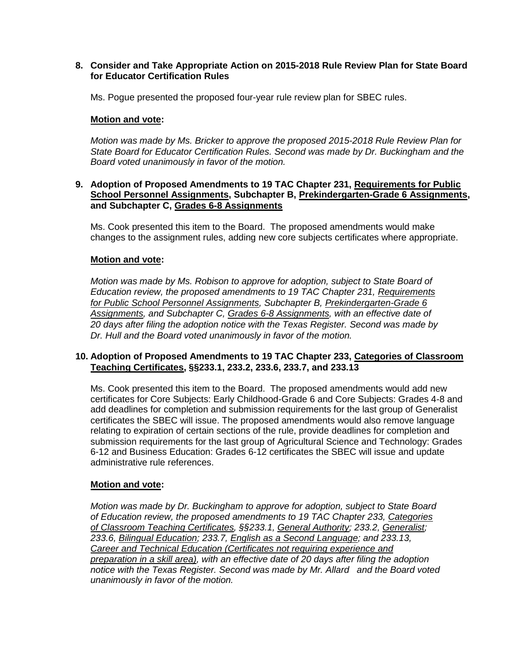## **8. Consider and Take Appropriate Action on 2015-2018 Rule Review Plan for State Board for Educator Certification Rules**

Ms. Pogue presented the proposed four-year rule review plan for SBEC rules.

## **Motion and vote:**

*Motion was made by Ms. Bricker to approve the proposed 2015-2018 Rule Review Plan for State Board for Educator Certification Rules. Second was made by Dr. Buckingham and the Board voted unanimously in favor of the motion.*

#### **9. Adoption of Proposed Amendments to 19 TAC Chapter 231, Requirements for Public School Personnel Assignments, Subchapter B, Prekindergarten-Grade 6 Assignments, and Subchapter C, Grades 6-8 Assignments**

Ms. Cook presented this item to the Board. The proposed amendments would make changes to the assignment rules, adding new core subjects certificates where appropriate.

# **Motion and vote:**

*Motion was made by Ms. Robison to approve for adoption, subject to State Board of Education review, the proposed amendments to 19 TAC Chapter 231, Requirements for Public School Personnel Assignments, Subchapter B, Prekindergarten-Grade 6 Assignments, and Subchapter C, Grades 6-8 Assignments, with an effective date of 20 days after filing the adoption notice with the Texas Register. Second was made by Dr. Hull and the Board voted unanimously in favor of the motion.*

### **10. Adoption of Proposed Amendments to 19 TAC Chapter 233, Categories of Classroom Teaching Certificates, §§233.1, 233.2, 233.6, 233.7, and 233.13**

Ms. Cook presented this item to the Board. The proposed amendments would add new certificates for Core Subjects: Early Childhood-Grade 6 and Core Subjects: Grades 4-8 and add deadlines for completion and submission requirements for the last group of Generalist certificates the SBEC will issue. The proposed amendments would also remove language relating to expiration of certain sections of the rule, provide deadlines for completion and submission requirements for the last group of Agricultural Science and Technology: Grades 6-12 and Business Education: Grades 6-12 certificates the SBEC will issue and update administrative rule references.

#### **Motion and vote:**

*Motion was made by Dr. Buckingham to approve for adoption, subject to State Board of Education review, the proposed amendments to 19 TAC Chapter 233, Categories of Classroom Teaching Certificates, §§233.1, General Authority; 233.2, Generalist; 233.6, Bilingual Education; 233.7, English as a Second Language; and 233.13, Career and Technical Education (Certificates not requiring experience and preparation in a skill area), with an effective date of 20 days after filing the adoption notice with the Texas Register. Second was made by Mr. Allard and the Board voted unanimously in favor of the motion.*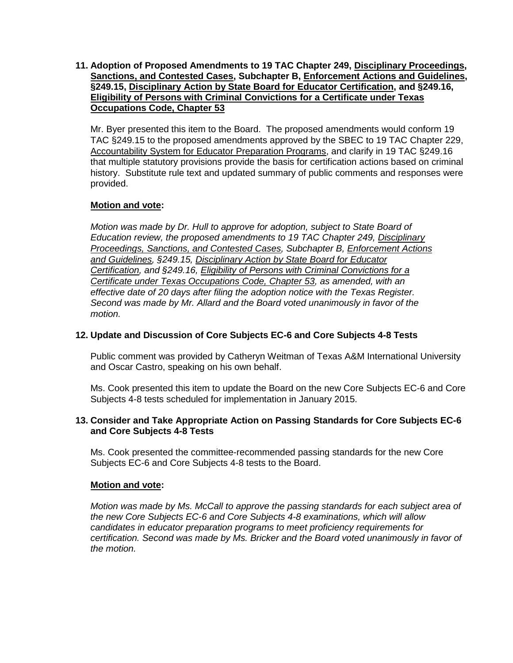# **11. Adoption of Proposed Amendments to 19 TAC Chapter 249, Disciplinary Proceedings, Sanctions, and Contested Cases, Subchapter B, Enforcement Actions and Guidelines, §249.15, Disciplinary Action by State Board for Educator Certification, and §249.16, Eligibility of Persons with Criminal Convictions for a Certificate under Texas Occupations Code, Chapter 53**

Mr. Byer presented this item to the Board. The proposed amendments would conform 19 TAC §249.15 to the proposed amendments approved by the SBEC to 19 TAC Chapter 229, Accountability System for Educator Preparation Programs, and clarify in 19 TAC §249.16 that multiple statutory provisions provide the basis for certification actions based on criminal history. Substitute rule text and updated summary of public comments and responses were provided.

# **Motion and vote:**

*Motion was made by Dr. Hull to approve for adoption, subject to State Board of Education review, the proposed amendments to 19 TAC Chapter 249, Disciplinary Proceedings, Sanctions, and Contested Cases, Subchapter B, Enforcement Actions and Guidelines, §249.15, Disciplinary Action by State Board for Educator Certification, and §249.16, Eligibility of Persons with Criminal Convictions for a Certificate under Texas Occupations Code, Chapter 53, as amended, with an effective date of 20 days after filing the adoption notice with the Texas Register. Second was made by Mr. Allard and the Board voted unanimously in favor of the motion.*

# **12. Update and Discussion of Core Subjects EC-6 and Core Subjects 4-8 Tests**

Public comment was provided by Catheryn Weitman of Texas A&M International University and Oscar Castro, speaking on his own behalf.

Ms. Cook presented this item to update the Board on the new Core Subjects EC-6 and Core Subjects 4-8 tests scheduled for implementation in January 2015.

# **13. Consider and Take Appropriate Action on Passing Standards for Core Subjects EC-6 and Core Subjects 4-8 Tests**

Ms. Cook presented the committee-recommended passing standards for the new Core Subjects EC-6 and Core Subjects 4-8 tests to the Board.

# **Motion and vote:**

*Motion was made by Ms. McCall to approve the passing standards for each subject area of the new Core Subjects EC-6 and Core Subjects 4-8 examinations, which will allow candidates in educator preparation programs to meet proficiency requirements for certification. Second was made by Ms. Bricker and the Board voted unanimously in favor of the motion.*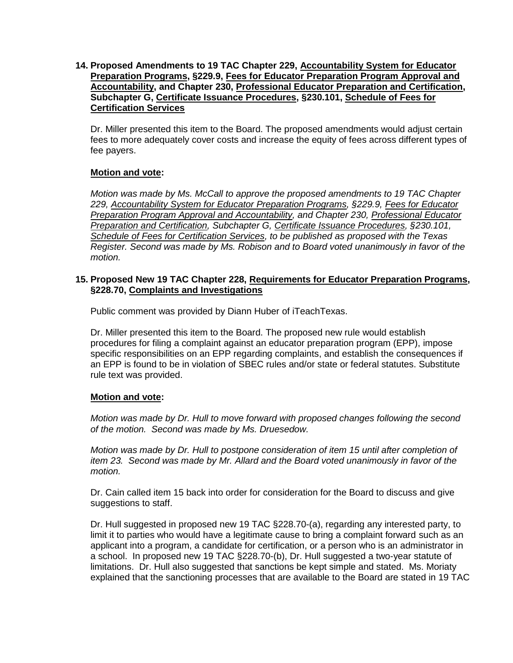**14. Proposed Amendments to 19 TAC Chapter 229, Accountability System for Educator Preparation Programs, §229.9, Fees for Educator Preparation Program Approval and Accountability, and Chapter 230, Professional Educator Preparation and Certification, Subchapter G, Certificate Issuance Procedures, §230.101, Schedule of Fees for Certification Services**

Dr. Miller presented this item to the Board. The proposed amendments would adjust certain fees to more adequately cover costs and increase the equity of fees across different types of fee payers.

# **Motion and vote:**

*Motion was made by Ms. McCall to approve the proposed amendments to 19 TAC Chapter 229, Accountability System for Educator Preparation Programs, §229.9, Fees for Educator Preparation Program Approval and Accountability, and Chapter 230, Professional Educator Preparation and Certification, Subchapter G, Certificate Issuance Procedures, §230.101, Schedule of Fees for Certification Services, to be published as proposed with the Texas Register. Second was made by Ms. Robison and to Board voted unanimously in favor of the motion.*

## **15. Proposed New 19 TAC Chapter 228, Requirements for Educator Preparation Programs, §228.70, Complaints and Investigations**

Public comment was provided by Diann Huber of iTeachTexas.

Dr. Miller presented this item to the Board. The proposed new rule would establish procedures for filing a complaint against an educator preparation program (EPP), impose specific responsibilities on an EPP regarding complaints, and establish the consequences if an EPP is found to be in violation of SBEC rules and/or state or federal statutes. Substitute rule text was provided.

# **Motion and vote:**

*Motion was made by Dr. Hull to move forward with proposed changes following the second of the motion. Second was made by Ms. Druesedow.*

*Motion was made by Dr. Hull to postpone consideration of item 15 until after completion of item 23. Second was made by Mr. Allard and the Board voted unanimously in favor of the motion.*

Dr. Cain called item 15 back into order for consideration for the Board to discuss and give suggestions to staff.

Dr. Hull suggested in proposed new 19 TAC §228.70-(a), regarding any interested party, to limit it to parties who would have a legitimate cause to bring a complaint forward such as an applicant into a program, a candidate for certification, or a person who is an administrator in a school. In proposed new 19 TAC §228.70-(b), Dr. Hull suggested a two-year statute of limitations. Dr. Hull also suggested that sanctions be kept simple and stated. Ms. Moriaty explained that the sanctioning processes that are available to the Board are stated in 19 TAC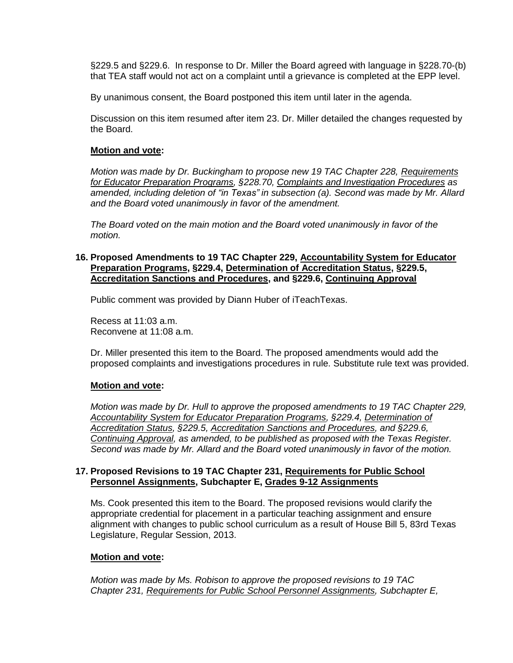§229.5 and §229.6. In response to Dr. Miller the Board agreed with language in §228.70-(b) that TEA staff would not act on a complaint until a grievance is completed at the EPP level.

By unanimous consent, the Board postponed this item until later in the agenda.

Discussion on this item resumed after item 23. Dr. Miller detailed the changes requested by the Board.

## **Motion and vote:**

*Motion was made by Dr. Buckingham to propose new 19 TAC Chapter 228, Requirements for Educator Preparation Programs, §228.70, Complaints and Investigation Procedures as amended, including deletion of "in Texas" in subsection (a). Second was made by Mr. Allard and the Board voted unanimously in favor of the amendment.*

*The Board voted on the main motion and the Board voted unanimously in favor of the motion.*

#### **16. Proposed Amendments to 19 TAC Chapter 229, Accountability System for Educator Preparation Programs, §229.4, Determination of Accreditation Status, §229.5, Accreditation Sanctions and Procedures, and §229.6, Continuing Approval**

Public comment was provided by Diann Huber of iTeachTexas.

Recess at 11:03 a.m. Reconvene at 11:08 a.m.

Dr. Miller presented this item to the Board. The proposed amendments would add the proposed complaints and investigations procedures in rule. Substitute rule text was provided.

# **Motion and vote:**

*Motion was made by Dr. Hull to approve the proposed amendments to 19 TAC Chapter 229, Accountability System for Educator Preparation Programs, §229.4, Determination of Accreditation Status, §229.5, Accreditation Sanctions and Procedures, and §229.6, Continuing Approval, as amended, to be published as proposed with the Texas Register. Second was made by Mr. Allard and the Board voted unanimously in favor of the motion.*

### **17. Proposed Revisions to 19 TAC Chapter 231, Requirements for Public School Personnel Assignments, Subchapter E, Grades 9-12 Assignments**

Ms. Cook presented this item to the Board. The proposed revisions would clarify the appropriate credential for placement in a particular teaching assignment and ensure alignment with changes to public school curriculum as a result of House Bill 5, 83rd Texas Legislature, Regular Session, 2013.

#### **Motion and vote:**

*Motion was made by Ms. Robison to approve the proposed revisions to 19 TAC Chapter 231, Requirements for Public School Personnel Assignments, Subchapter E,*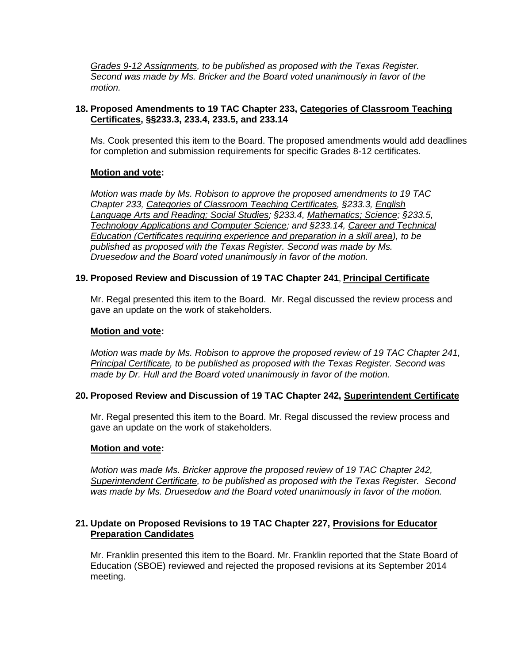*Grades 9-12 Assignments, to be published as proposed with the Texas Register. Second was made by Ms. Bricker and the Board voted unanimously in favor of the motion.*

# **18. Proposed Amendments to 19 TAC Chapter 233, Categories of Classroom Teaching Certificates, §§233.3, 233.4, 233.5, and 233.14**

Ms. Cook presented this item to the Board. The proposed amendments would add deadlines for completion and submission requirements for specific Grades 8-12 certificates.

# **Motion and vote:**

*Motion was made by Ms. Robison to approve the proposed amendments to 19 TAC Chapter 233, Categories of Classroom Teaching Certificates, §233.3, English Language Arts and Reading; Social Studies; §233.4, Mathematics; Science; §233.5, Technology Applications and Computer Science; and §233.14, Career and Technical Education (Certificates requiring experience and preparation in a skill area), to be published as proposed with the Texas Register. Second was made by Ms. Druesedow and the Board voted unanimously in favor of the motion.*

# **19. Proposed Review and Discussion of 19 TAC Chapter 241**, **Principal Certificate**

Mr. Regal presented this item to the Board. Mr. Regal discussed the review process and gave an update on the work of stakeholders.

## **Motion and vote:**

*Motion was made by Ms. Robison to approve the proposed review of 19 TAC Chapter 241, Principal Certificate, to be published as proposed with the Texas Register. Second was made by Dr. Hull and the Board voted unanimously in favor of the motion.*

# **20. Proposed Review and Discussion of 19 TAC Chapter 242, Superintendent Certificate**

Mr. Regal presented this item to the Board. Mr. Regal discussed the review process and gave an update on the work of stakeholders.

# **Motion and vote:**

*Motion was made Ms. Bricker approve the proposed review of 19 TAC Chapter 242, Superintendent Certificate, to be published as proposed with the Texas Register. Second was made by Ms. Druesedow and the Board voted unanimously in favor of the motion.*

# **21. Update on Proposed Revisions to 19 TAC Chapter 227, Provisions for Educator Preparation Candidates**

Mr. Franklin presented this item to the Board. Mr. Franklin reported that the State Board of Education (SBOE) reviewed and rejected the proposed revisions at its September 2014 meeting.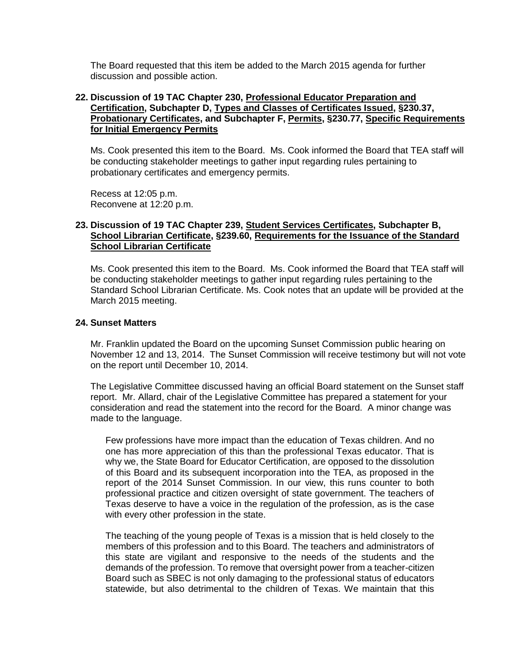The Board requested that this item be added to the March 2015 agenda for further discussion and possible action.

#### **22. Discussion of 19 TAC Chapter 230, Professional Educator Preparation and Certification, Subchapter D, Types and Classes of Certificates Issued, §230.37, Probationary Certificates, and Subchapter F, Permits, §230.77, Specific Requirements for Initial Emergency Permits**

Ms. Cook presented this item to the Board. Ms. Cook informed the Board that TEA staff will be conducting stakeholder meetings to gather input regarding rules pertaining to probationary certificates and emergency permits.

Recess at 12:05 p.m. Reconvene at 12:20 p.m.

#### **23. Discussion of 19 TAC Chapter 239, Student Services Certificates, Subchapter B, School Librarian Certificate, §239.60, Requirements for the Issuance of the Standard School Librarian Certificate**

Ms. Cook presented this item to the Board. Ms. Cook informed the Board that TEA staff will be conducting stakeholder meetings to gather input regarding rules pertaining to the Standard School Librarian Certificate. Ms. Cook notes that an update will be provided at the March 2015 meeting.

#### **24. Sunset Matters**

Mr. Franklin updated the Board on the upcoming Sunset Commission public hearing on November 12 and 13, 2014. The Sunset Commission will receive testimony but will not vote on the report until December 10, 2014.

The Legislative Committee discussed having an official Board statement on the Sunset staff report. Mr. Allard, chair of the Legislative Committee has prepared a statement for your consideration and read the statement into the record for the Board. A minor change was made to the language.

Few professions have more impact than the education of Texas children. And no one has more appreciation of this than the professional Texas educator. That is why we, the State Board for Educator Certification, are opposed to the dissolution of this Board and its subsequent incorporation into the TEA, as proposed in the report of the 2014 Sunset Commission. In our view, this runs counter to both professional practice and citizen oversight of state government. The teachers of Texas deserve to have a voice in the regulation of the profession, as is the case with every other profession in the state.

The teaching of the young people of Texas is a mission that is held closely to the members of this profession and to this Board. The teachers and administrators of this state are vigilant and responsive to the needs of the students and the demands of the profession. To remove that oversight power from a teacher-citizen Board such as SBEC is not only damaging to the professional status of educators statewide, but also detrimental to the children of Texas. We maintain that this